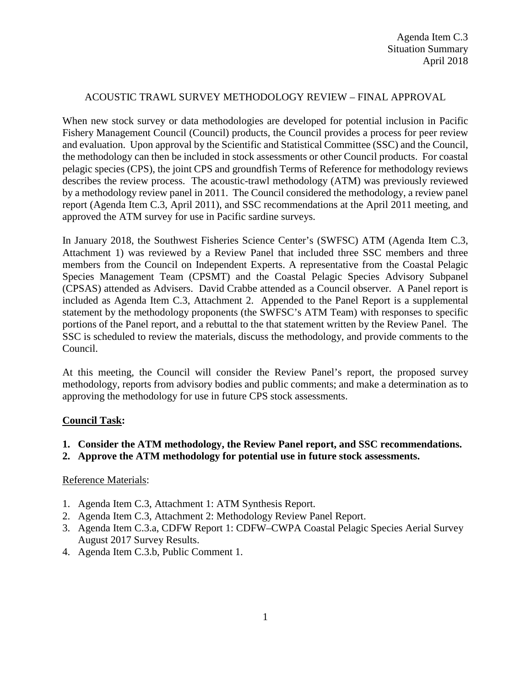## ACOUSTIC TRAWL SURVEY METHODOLOGY REVIEW – FINAL APPROVAL

When new stock survey or data methodologies are developed for potential inclusion in Pacific Fishery Management Council (Council) products, the Council provides a process for peer review and evaluation. Upon approval by the Scientific and Statistical Committee (SSC) and the Council, the methodology can then be included in stock assessments or other Council products. For coastal pelagic species (CPS), the joint CPS and groundfish Terms of Reference for methodology reviews describes the review process. The acoustic-trawl methodology (ATM) was previously reviewed by a methodology review panel in 2011. The Council considered the methodology, a review panel report (Agenda Item C.3, April 2011), and SSC recommendations at the April 2011 meeting, and approved the ATM survey for use in Pacific sardine surveys.

In January 2018, the Southwest Fisheries Science Center's (SWFSC) ATM (Agenda Item C.3, Attachment 1) was reviewed by a Review Panel that included three SSC members and three members from the Council on Independent Experts. A representative from the Coastal Pelagic Species Management Team (CPSMT) and the Coastal Pelagic Species Advisory Subpanel (CPSAS) attended as Advisers. David Crabbe attended as a Council observer. A Panel report is included as Agenda Item C.3, Attachment 2. Appended to the Panel Report is a supplemental statement by the methodology proponents (the SWFSC's ATM Team) with responses to specific portions of the Panel report, and a rebuttal to the that statement written by the Review Panel. The SSC is scheduled to review the materials, discuss the methodology, and provide comments to the Council.

At this meeting, the Council will consider the Review Panel's report, the proposed survey methodology, reports from advisory bodies and public comments; and make a determination as to approving the methodology for use in future CPS stock assessments.

## **Council Task:**

- **1. Consider the ATM methodology, the Review Panel report, and SSC recommendations.**
- **2. Approve the ATM methodology for potential use in future stock assessments.**

## Reference Materials:

- 1. Agenda Item C.3, Attachment 1: ATM Synthesis Report.
- 2. Agenda Item C.3, Attachment 2: Methodology Review Panel Report.
- 3. Agenda Item C.3.a, CDFW Report 1: CDFW–CWPA Coastal Pelagic Species Aerial Survey August 2017 Survey Results.
- 4. Agenda Item C.3.b, Public Comment 1.